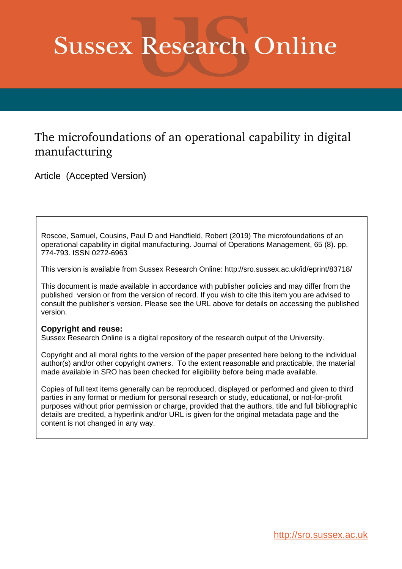# **Sussex Research Online**

# The microfoundations of an operational capability in digital manufacturing

Article (Accepted Version)

Roscoe, Samuel, Cousins, Paul D and Handfield, Robert (2019) The microfoundations of an operational capability in digital manufacturing. Journal of Operations Management, 65 (8). pp. 774-793. ISSN 0272-6963

This version is available from Sussex Research Online: http://sro.sussex.ac.uk/id/eprint/83718/

This document is made available in accordance with publisher policies and may differ from the published version or from the version of record. If you wish to cite this item you are advised to consult the publisher's version. Please see the URL above for details on accessing the published version.

#### **Copyright and reuse:**

Sussex Research Online is a digital repository of the research output of the University.

Copyright and all moral rights to the version of the paper presented here belong to the individual author(s) and/or other copyright owners. To the extent reasonable and practicable, the material made available in SRO has been checked for eligibility before being made available.

Copies of full text items generally can be reproduced, displayed or performed and given to third parties in any format or medium for personal research or study, educational, or not-for-profit purposes without prior permission or charge, provided that the authors, title and full bibliographic details are credited, a hyperlink and/or URL is given for the original metadata page and the content is not changed in any way.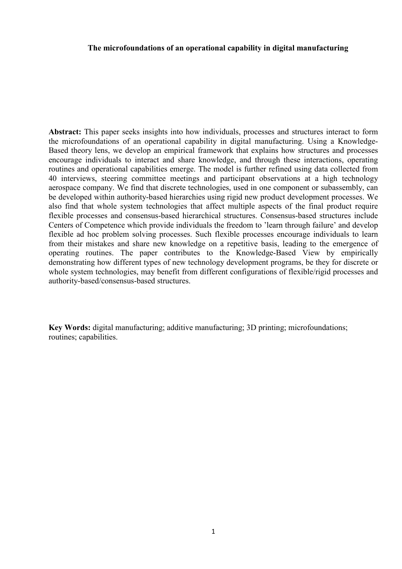#### **The microfoundations of an operational capability in digital manufacturing**

**Abstract:** This paper seeks insights into how individuals, processes and structures interact to form the microfoundations of an operational capability in digital manufacturing. Using a Knowledge-Based theory lens, we develop an empirical framework that explains how structures and processes encourage individuals to interact and share knowledge, and through these interactions, operating routines and operational capabilities emerge. The model is further refined using data collected from 40 interviews, steering committee meetings and participant observations at a high technology aerospace company. We find that discrete technologies, used in one component or subassembly, can be developed within authority-based hierarchies using rigid new product development processes. We also find that whole system technologies that affect multiple aspects of the final product require flexible processes and consensus-based hierarchical structures. Consensus-based structures include Centers of Competence which provide individuals the freedom to 'learn through failure' and develop flexible ad hoc problem solving processes. Such flexible processes encourage individuals to learn from their mistakes and share new knowledge on a repetitive basis, leading to the emergence of operating routines. The paper contributes to the Knowledge-Based View by empirically demonstrating how different types of new technology development programs, be they for discrete or whole system technologies, may benefit from different configurations of flexible/rigid processes and authority-based/consensus-based structures.

**Key Words:** digital manufacturing; additive manufacturing; 3D printing; microfoundations; routines; capabilities.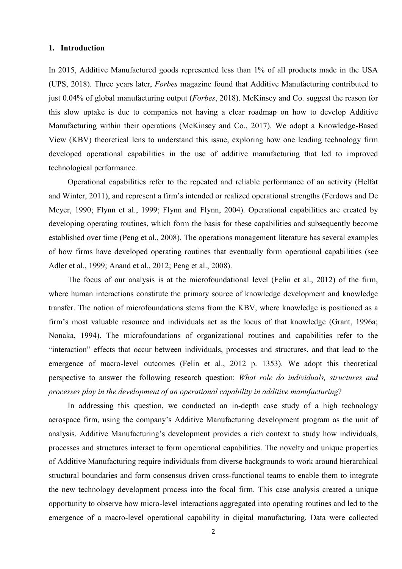#### **1. Introduction**

In 2015, Additive Manufactured goods represented less than 1% of all products made in the USA (UPS, 2018). Three years later, *Forbes* magazine found that Additive Manufacturing contributed to just 0.04% of global manufacturing output (*Forbes*, 2018). McKinsey and Co. suggest the reason for this slow uptake is due to companies not having a clear roadmap on how to develop Additive Manufacturing within their operations (McKinsey and Co., 2017). We adopt a Knowledge-Based View (KBV) theoretical lens to understand this issue, exploring how one leading technology firm developed operational capabilities in the use of additive manufacturing that led to improved technological performance.

Operational capabilities refer to the repeated and reliable performance of an activity (Helfat and Winter, 2011), and represent a firm's intended or realized operational strengths (Ferdows and De Meyer, 1990; Flynn et al., 1999; Flynn and Flynn, 2004). Operational capabilities are created by developing operating routines, which form the basis for these capabilities and subsequently become established over time (Peng et al., 2008). The operations management literature has several examples of how firms have developed operating routines that eventually form operational capabilities (see Adler et al., 1999; Anand et al., 2012; Peng et al., 2008).

The focus of our analysis is at the microfoundational level (Felin et al., 2012) of the firm, where human interactions constitute the primary source of knowledge development and knowledge transfer. The notion of microfoundations stems from the KBV, where knowledge is positioned as a firm's most valuable resource and individuals act as the locus of that knowledge (Grant, 1996a; Nonaka, 1994). The microfoundations of organizational routines and capabilities refer to the "interaction" effects that occur between individuals, processes and structures, and that lead to the emergence of macro-level outcomes (Felin et al., 2012 p. 1353). We adopt this theoretical perspective to answer the following research question: *What role do individuals, structures and processes play in the development of an operational capability in additive manufacturing*?

In addressing this question, we conducted an in-depth case study of a high technology aerospace firm, using the company's Additive Manufacturing development program as the unit of analysis. Additive Manufacturing's development provides a rich context to study how individuals, processes and structures interact to form operational capabilities. The novelty and unique properties of Additive Manufacturing require individuals from diverse backgrounds to work around hierarchical structural boundaries and form consensus driven cross-functional teams to enable them to integrate the new technology development process into the focal firm. This case analysis created a unique opportunity to observe how micro-level interactions aggregated into operating routines and led to the emergence of a macro-level operational capability in digital manufacturing. Data were collected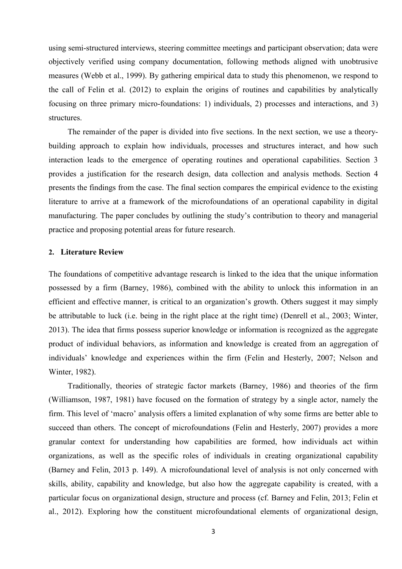using semi-structured interviews, steering committee meetings and participant observation; data were objectively verified using company documentation, following methods aligned with unobtrusive measures (Webb et al., 1999). By gathering empirical data to study this phenomenon, we respond to the call of Felin et al. (2012) to explain the origins of routines and capabilities by analytically focusing on three primary micro-foundations: 1) individuals, 2) processes and interactions, and 3) structures.

The remainder of the paper is divided into five sections. In the next section, we use a theorybuilding approach to explain how individuals, processes and structures interact, and how such interaction leads to the emergence of operating routines and operational capabilities. Section 3 provides a justification for the research design, data collection and analysis methods. Section 4 presents the findings from the case. The final section compares the empirical evidence to the existing literature to arrive at a framework of the microfoundations of an operational capability in digital manufacturing. The paper concludes by outlining the study's contribution to theory and managerial practice and proposing potential areas for future research.

#### **2. Literature Review**

The foundations of competitive advantage research is linked to the idea that the unique information possessed by a firm (Barney, 1986), combined with the ability to unlock this information in an efficient and effective manner, is critical to an organization's growth. Others suggest it may simply be attributable to luck (i.e. being in the right place at the right time) (Denrell et al., 2003; Winter, 2013). The idea that firms possess superior knowledge or information is recognized as the aggregate product of individual behaviors, as information and knowledge is created from an aggregation of individuals' knowledge and experiences within the firm (Felin and Hesterly, 2007; Nelson and Winter, 1982).

Traditionally, theories of strategic factor markets (Barney, 1986) and theories of the firm (Williamson, 1987, 1981) have focused on the formation of strategy by a single actor, namely the firm. This level of 'macro' analysis offers a limited explanation of why some firms are better able to succeed than others. The concept of microfoundations (Felin and Hesterly, 2007) provides a more granular context for understanding how capabilities are formed, how individuals act within organizations, as well as the specific roles of individuals in creating organizational capability (Barney and Felin, 2013 p. 149). A microfoundational level of analysis is not only concerned with skills, ability, capability and knowledge, but also how the aggregate capability is created, with a particular focus on organizational design, structure and process (cf. Barney and Felin, 2013; Felin et al., 2012). Exploring how the constituent microfoundational elements of organizational design,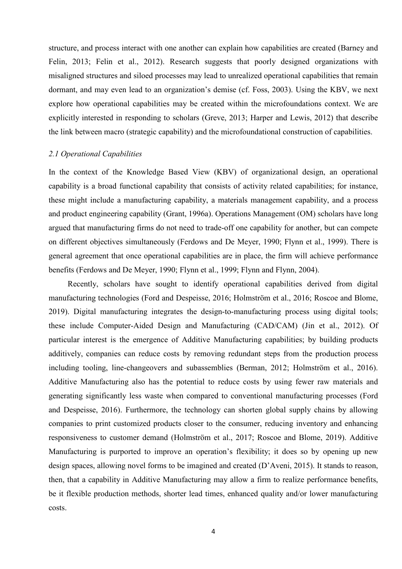structure, and process interact with one another can explain how capabilities are created (Barney and Felin, 2013; Felin et al., 2012). Research suggests that poorly designed organizations with misaligned structures and siloed processes may lead to unrealized operational capabilities that remain dormant, and may even lead to an organization's demise (cf. Foss, 2003). Using the KBV, we next explore how operational capabilities may be created within the microfoundations context. We are explicitly interested in responding to scholars (Greve, 2013; Harper and Lewis, 2012) that describe the link between macro (strategic capability) and the microfoundational construction of capabilities.

#### *2.1 Operational Capabilities*

In the context of the Knowledge Based View (KBV) of organizational design, an operational capability is a broad functional capability that consists of activity related capabilities; for instance, these might include a manufacturing capability, a materials management capability, and a process and product engineering capability (Grant, 1996a). Operations Management (OM) scholars have long argued that manufacturing firms do not need to trade-off one capability for another, but can compete on different objectives simultaneously (Ferdows and De Meyer, 1990; Flynn et al., 1999). There is general agreement that once operational capabilities are in place, the firm will achieve performance benefits (Ferdows and De Meyer, 1990; Flynn et al., 1999; Flynn and Flynn, 2004).

Recently, scholars have sought to identify operational capabilities derived from digital manufacturing technologies (Ford and Despeisse, 2016; Holmström et al., 2016; Roscoe and Blome, 2019). Digital manufacturing integrates the design-to-manufacturing process using digital tools; these include Computer-Aided Design and Manufacturing (CAD/CAM) (Jin et al., 2012). Of particular interest is the emergence of Additive Manufacturing capabilities; by building products additively, companies can reduce costs by removing redundant steps from the production process including tooling, line-changeovers and subassemblies (Berman, 2012; Holmström et al., 2016). Additive Manufacturing also has the potential to reduce costs by using fewer raw materials and generating significantly less waste when compared to conventional manufacturing processes (Ford and Despeisse, 2016). Furthermore, the technology can shorten global supply chains by allowing companies to print customized products closer to the consumer, reducing inventory and enhancing responsiveness to customer demand (Holmström et al., 2017; Roscoe and Blome, 2019). Additive Manufacturing is purported to improve an operation's flexibility; it does so by opening up new design spaces, allowing novel forms to be imagined and created (D'Aveni, 2015). It stands to reason, then, that a capability in Additive Manufacturing may allow a firm to realize performance benefits, be it flexible production methods, shorter lead times, enhanced quality and/or lower manufacturing costs.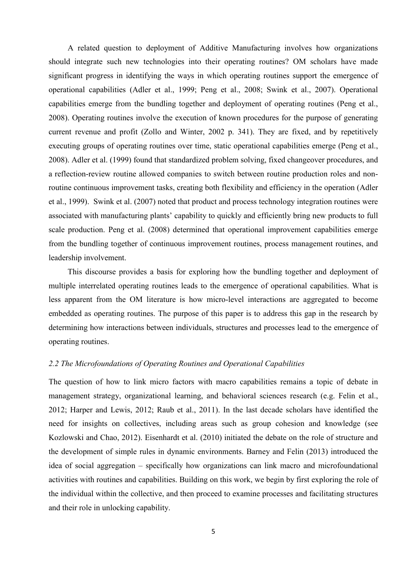A related question to deployment of Additive Manufacturing involves how organizations should integrate such new technologies into their operating routines? OM scholars have made significant progress in identifying the ways in which operating routines support the emergence of operational capabilities (Adler et al., 1999; Peng et al., 2008; Swink et al., 2007). Operational capabilities emerge from the bundling together and deployment of operating routines (Peng et al., 2008). Operating routines involve the execution of known procedures for the purpose of generating current revenue and profit (Zollo and Winter, 2002 p. 341). They are fixed, and by repetitively executing groups of operating routines over time, static operational capabilities emerge (Peng et al., 2008). Adler et al. (1999) found that standardized problem solving, fixed changeover procedures, and a reflection-review routine allowed companies to switch between routine production roles and nonroutine continuous improvement tasks, creating both flexibility and efficiency in the operation (Adler et al., 1999). Swink et al. (2007) noted that product and process technology integration routines were associated with manufacturing plants' capability to quickly and efficiently bring new products to full scale production. Peng et al. (2008) determined that operational improvement capabilities emerge from the bundling together of continuous improvement routines, process management routines, and leadership involvement.

This discourse provides a basis for exploring how the bundling together and deployment of multiple interrelated operating routines leads to the emergence of operational capabilities. What is less apparent from the OM literature is how micro-level interactions are aggregated to become embedded as operating routines. The purpose of this paper is to address this gap in the research by determining how interactions between individuals, structures and processes lead to the emergence of operating routines.

#### *2.2 The Microfoundations of Operating Routines and Operational Capabilities*

The question of how to link micro factors with macro capabilities remains a topic of debate in management strategy, organizational learning, and behavioral sciences research (e.g. Felin et al., 2012; Harper and Lewis, 2012; Raub et al., 2011). In the last decade scholars have identified the need for insights on collectives, including areas such as group cohesion and knowledge (see Kozlowski and Chao, 2012). Eisenhardt et al. (2010) initiated the debate on the role of structure and the development of simple rules in dynamic environments. Barney and Felin (2013) introduced the idea of social aggregation – specifically how organizations can link macro and microfoundational activities with routines and capabilities. Building on this work, we begin by first exploring the role of the individual within the collective, and then proceed to examine processes and facilitating structures and their role in unlocking capability.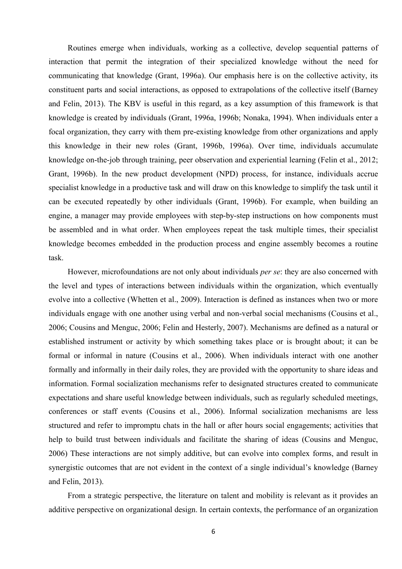Routines emerge when individuals, working as a collective, develop sequential patterns of interaction that permit the integration of their specialized knowledge without the need for communicating that knowledge (Grant, 1996a). Our emphasis here is on the collective activity, its constituent parts and social interactions, as opposed to extrapolations of the collective itself (Barney and Felin, 2013). The KBV is useful in this regard, as a key assumption of this framework is that knowledge is created by individuals (Grant, 1996a, 1996b; Nonaka, 1994). When individuals enter a focal organization, they carry with them pre-existing knowledge from other organizations and apply this knowledge in their new roles (Grant, 1996b, 1996a). Over time, individuals accumulate knowledge on-the-job through training, peer observation and experiential learning (Felin et al., 2012; Grant, 1996b). In the new product development (NPD) process, for instance, individuals accrue specialist knowledge in a productive task and will draw on this knowledge to simplify the task until it can be executed repeatedly by other individuals (Grant, 1996b). For example, when building an engine, a manager may provide employees with step-by-step instructions on how components must be assembled and in what order. When employees repeat the task multiple times, their specialist knowledge becomes embedded in the production process and engine assembly becomes a routine task.

However, microfoundations are not only about individuals *per se*: they are also concerned with the level and types of interactions between individuals within the organization, which eventually evolve into a collective (Whetten et al., 2009). Interaction is defined as instances when two or more individuals engage with one another using verbal and non-verbal social mechanisms (Cousins et al., 2006; Cousins and Menguc, 2006; Felin and Hesterly, 2007). Mechanisms are defined as a natural or established instrument or activity by which something takes place or is brought about; it can be formal or informal in nature (Cousins et al., 2006). When individuals interact with one another formally and informally in their daily roles, they are provided with the opportunity to share ideas and information. Formal socialization mechanisms refer to designated structures created to communicate expectations and share useful knowledge between individuals, such as regularly scheduled meetings, conferences or staff events (Cousins et al., 2006). Informal socialization mechanisms are less structured and refer to impromptu chats in the hall or after hours social engagements; activities that help to build trust between individuals and facilitate the sharing of ideas (Cousins and Menguc, 2006) These interactions are not simply additive, but can evolve into complex forms, and result in synergistic outcomes that are not evident in the context of a single individual's knowledge (Barney and Felin, 2013).

From a strategic perspective, the literature on talent and mobility is relevant as it provides an additive perspective on organizational design. In certain contexts, the performance of an organization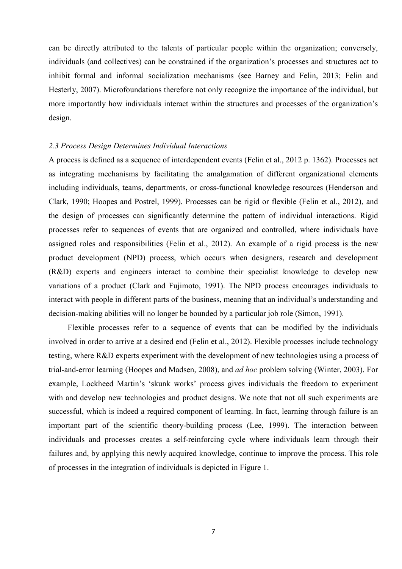can be directly attributed to the talents of particular people within the organization; conversely, individuals (and collectives) can be constrained if the organization's processes and structures act to inhibit formal and informal socialization mechanisms (see Barney and Felin, 2013; Felin and Hesterly, 2007). Microfoundations therefore not only recognize the importance of the individual, but more importantly how individuals interact within the structures and processes of the organization's design.

#### *2.3 Process Design Determines Individual Interactions*

A process is defined as a sequence of interdependent events (Felin et al., 2012 p. 1362). Processes act as integrating mechanisms by facilitating the amalgamation of different organizational elements including individuals, teams, departments, or cross-functional knowledge resources (Henderson and Clark, 1990; Hoopes and Postrel, 1999). Processes can be rigid or flexible (Felin et al., 2012), and the design of processes can significantly determine the pattern of individual interactions. Rigid processes refer to sequences of events that are organized and controlled, where individuals have assigned roles and responsibilities (Felin et al., 2012). An example of a rigid process is the new product development (NPD) process, which occurs when designers, research and development (R&D) experts and engineers interact to combine their specialist knowledge to develop new variations of a product (Clark and Fujimoto, 1991). The NPD process encourages individuals to interact with people in different parts of the business, meaning that an individual's understanding and decision-making abilities will no longer be bounded by a particular job role (Simon, 1991).

Flexible processes refer to a sequence of events that can be modified by the individuals involved in order to arrive at a desired end (Felin et al., 2012). Flexible processes include technology testing, where R&D experts experiment with the development of new technologies using a process of trial-and-error learning (Hoopes and Madsen, 2008), and *ad hoc* problem solving (Winter, 2003). For example, Lockheed Martin's 'skunk works' process gives individuals the freedom to experiment with and develop new technologies and product designs. We note that not all such experiments are successful, which is indeed a required component of learning. In fact, learning through failure is an important part of the scientific theory-building process (Lee, 1999). The interaction between individuals and processes creates a self-reinforcing cycle where individuals learn through their failures and, by applying this newly acquired knowledge, continue to improve the process. This role of processes in the integration of individuals is depicted in Figure 1.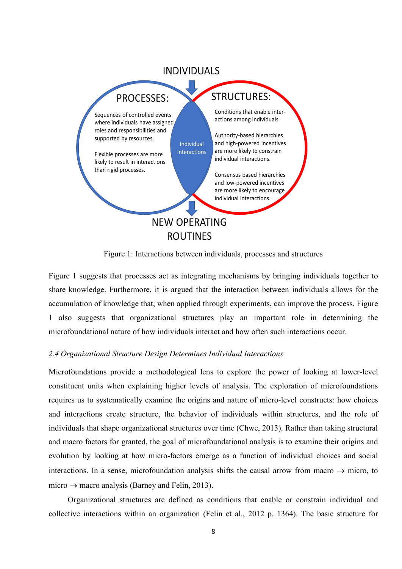### INDIVIDUALS

Individual **Interactions** 

Sequences of controlled events where individuals have assigned roles and responsibilities and supported by resources.

Flexible processes are more likely to result in interactions than rigid processes.

## PROCESSES: STRUCTURES:

Conditions that enable interactions among individuals.

Authority-based hierarchies and high-powered incentives are more likely to constrain individual interactions.

Consensus based hierarchies and low-powered incentives are more likely to encourage individual interactions.

NEW OPERATING ROUTINES

Figure 1: Interactions between individuals, processes and structures

Figure 1 suggests that processes act as integrating mechanisms by bringing individuals together to share knowledge. Furthermore, it is argued that the interaction between individuals allows for the accumulation of knowledge that, when applied through experiments, can improve the process. Figure 1 also suggests that organizational structures play an important role in determining the microfoundational nature of how individuals interact and how often such interactions occur.

#### *2.4 Organizational Structure Design Determines Individual Interactions*

Microfoundations provide a methodological lens to explore the power of looking at lower-level constituent units when explaining higher levels of analysis. The exploration of microfoundations requires us to systematically examine the origins and nature of micro-level constructs: how choices and interactions create structure, the behavior of individuals within structures, and the role of individuals that shape organizational structures over time (Chwe, 2013). Rather than taking structural and macro factors for granted, the goal of microfoundational analysis is to examine their origins and evolution by looking at how micro-factors emerge as a function of individual choices and social interactions. In a sense, microfoundation analysis shifts the causal arrow from macro  $\rightarrow$  micro, to micro  $\rightarrow$  macro analysis (Barney and Felin, 2013).

Organizational structures are defined as conditions that enable or constrain individual and collective interactions within an organization (Felin et al., 2012 p. 1364). The basic structure for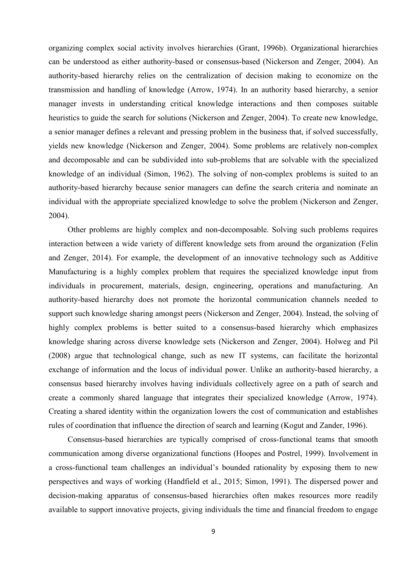organizing complex social activity involves hierarchies (Grant, 1996b). Organizational hierarchies can be understood as either authority-based or consensus-based (Nickerson and Zenger, 2004). An authority-based hierarchy relies on the centralization of decision making to economize on the transmission and handling of knowledge (Arrow, 1974). In an authority based hierarchy, a senior manager invests in understanding critical knowledge interactions and then composes suitable heuristics to guide the search for solutions (Nickerson and Zenger, 2004). To create new knowledge, a senior manager defines a relevant and pressing problem in the business that, if solved successfully, yields new knowledge (Nickerson and Zenger, 2004). Some problems are relatively non-complex and decomposable and can be subdivided into sub-problems that are solvable with the specialized knowledge of an individual (Simon, 1962). The solving of non-complex problems is suited to an authority-based hierarchy because senior managers can define the search criteria and nominate an individual with the appropriate specialized knowledge to solve the problem (Nickerson and Zenger, 2004).

Other problems are highly complex and non-decomposable. Solving such problems requires interaction between a wide variety of different knowledge sets from around the organization (Felin and Zenger, 2014). For example, the development of an innovative technology such as Additive Manufacturing is a highly complex problem that requires the specialized knowledge input from individuals in procurement, materials, design, engineering, operations and manufacturing. An authority-based hierarchy does not promote the horizontal communication channels needed to support such knowledge sharing amongst peers (Nickerson and Zenger, 2004). Instead, the solving of highly complex problems is better suited to a consensus-based hierarchy which emphasizes knowledge sharing across diverse knowledge sets (Nickerson and Zenger, 2004). Holweg and Pil (2008) argue that technological change, such as new IT systems, can facilitate the horizontal exchange of information and the locus of individual power. Unlike an authority-based hierarchy, a consensus based hierarchy involves having individuals collectively agree on a path of search and create a commonly shared language that integrates their specialized knowledge (Arrow, 1974). Creating a shared identity within the organization lowers the cost of communication and establishes rules of coordination that influence the direction of search and learning (Kogut and Zander, 1996).

Consensus-based hierarchies are typically comprised of cross-functional teams that smooth communication among diverse organizational functions (Hoopes and Postrel, 1999). Involvement in a cross-functional team challenges an individual's bounded rationality by exposing them to new perspectives and ways of working (Handfield et al., 2015; Simon, 1991). The dispersed power and decision-making apparatus of consensus-based hierarchies often makes resources more readily available to support innovative projects, giving individuals the time and financial freedom to engage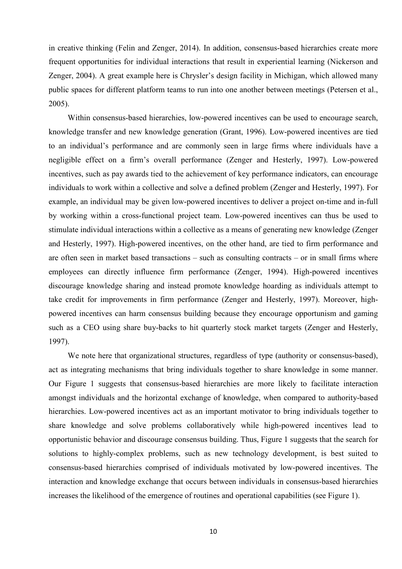in creative thinking (Felin and Zenger, 2014). In addition, consensus-based hierarchies create more frequent opportunities for individual interactions that result in experiential learning (Nickerson and Zenger, 2004). A great example here is Chrysler's design facility in Michigan, which allowed many public spaces for different platform teams to run into one another between meetings (Petersen et al., 2005).

Within consensus-based hierarchies, low-powered incentives can be used to encourage search, knowledge transfer and new knowledge generation (Grant, 1996). Low-powered incentives are tied to an individual's performance and are commonly seen in large firms where individuals have a negligible effect on a firm's overall performance (Zenger and Hesterly, 1997). Low-powered incentives, such as pay awards tied to the achievement of key performance indicators, can encourage individuals to work within a collective and solve a defined problem (Zenger and Hesterly, 1997). For example, an individual may be given low-powered incentives to deliver a project on-time and in-full by working within a cross-functional project team. Low-powered incentives can thus be used to stimulate individual interactions within a collective as a means of generating new knowledge (Zenger and Hesterly, 1997). High-powered incentives, on the other hand, are tied to firm performance and are often seen in market based transactions – such as consulting contracts – or in small firms where employees can directly influence firm performance (Zenger, 1994). High-powered incentives discourage knowledge sharing and instead promote knowledge hoarding as individuals attempt to take credit for improvements in firm performance (Zenger and Hesterly, 1997). Moreover, highpowered incentives can harm consensus building because they encourage opportunism and gaming such as a CEO using share buy-backs to hit quarterly stock market targets (Zenger and Hesterly, 1997).

We note here that organizational structures, regardless of type (authority or consensus-based), act as integrating mechanisms that bring individuals together to share knowledge in some manner. Our Figure 1 suggests that consensus-based hierarchies are more likely to facilitate interaction amongst individuals and the horizontal exchange of knowledge, when compared to authority-based hierarchies. Low-powered incentives act as an important motivator to bring individuals together to share knowledge and solve problems collaboratively while high-powered incentives lead to opportunistic behavior and discourage consensus building. Thus, Figure 1 suggests that the search for solutions to highly-complex problems, such as new technology development, is best suited to consensus-based hierarchies comprised of individuals motivated by low-powered incentives. The interaction and knowledge exchange that occurs between individuals in consensus-based hierarchies increases the likelihood of the emergence of routines and operational capabilities (see Figure 1).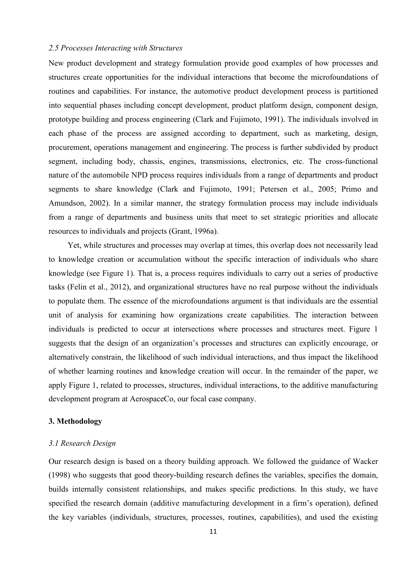#### *2.5 Processes Interacting with Structures*

New product development and strategy formulation provide good examples of how processes and structures create opportunities for the individual interactions that become the microfoundations of routines and capabilities. For instance, the automotive product development process is partitioned into sequential phases including concept development, product platform design, component design, prototype building and process engineering (Clark and Fujimoto, 1991). The individuals involved in each phase of the process are assigned according to department, such as marketing, design, procurement, operations management and engineering. The process is further subdivided by product segment, including body, chassis, engines, transmissions, electronics, etc. The cross-functional nature of the automobile NPD process requires individuals from a range of departments and product segments to share knowledge (Clark and Fujimoto, 1991; Petersen et al., 2005; Primo and Amundson, 2002). In a similar manner, the strategy formulation process may include individuals from a range of departments and business units that meet to set strategic priorities and allocate resources to individuals and projects (Grant, 1996a).

Yet, while structures and processes may overlap at times, this overlap does not necessarily lead to knowledge creation or accumulation without the specific interaction of individuals who share knowledge (see Figure 1). That is, a process requires individuals to carry out a series of productive tasks (Felin et al., 2012), and organizational structures have no real purpose without the individuals to populate them. The essence of the microfoundations argument is that individuals are the essential unit of analysis for examining how organizations create capabilities. The interaction between individuals is predicted to occur at intersections where processes and structures meet. Figure 1 suggests that the design of an organization's processes and structures can explicitly encourage, or alternatively constrain, the likelihood of such individual interactions, and thus impact the likelihood of whether learning routines and knowledge creation will occur. In the remainder of the paper, we apply Figure 1, related to processes, structures, individual interactions, to the additive manufacturing development program at AerospaceCo, our focal case company.

#### **3. Methodology**

#### *3.1 Research Design*

Our research design is based on a theory building approach. We followed the guidance of Wacker (1998) who suggests that good theory-building research defines the variables, specifies the domain, builds internally consistent relationships, and makes specific predictions. In this study, we have specified the research domain (additive manufacturing development in a firm's operation), defined the key variables (individuals, structures, processes, routines, capabilities), and used the existing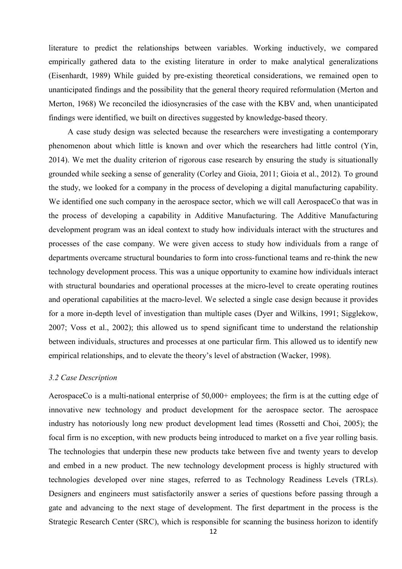literature to predict the relationships between variables. Working inductively, we compared empirically gathered data to the existing literature in order to make analytical generalizations (Eisenhardt, 1989) While guided by pre-existing theoretical considerations, we remained open to unanticipated findings and the possibility that the general theory required reformulation (Merton and Merton, 1968) We reconciled the idiosyncrasies of the case with the KBV and, when unanticipated findings were identified, we built on directives suggested by knowledge-based theory.

A case study design was selected because the researchers were investigating a contemporary phenomenon about which little is known and over which the researchers had little control (Yin, 2014). We met the duality criterion of rigorous case research by ensuring the study is situationally grounded while seeking a sense of generality (Corley and Gioia, 2011; Gioia et al., 2012)*.* To ground the study, we looked for a company in the process of developing a digital manufacturing capability. We identified one such company in the aerospace sector, which we will call AerospaceCo that was in the process of developing a capability in Additive Manufacturing. The Additive Manufacturing development program was an ideal context to study how individuals interact with the structures and processes of the case company. We were given access to study how individuals from a range of departments overcame structural boundaries to form into cross-functional teams and re-think the new technology development process. This was a unique opportunity to examine how individuals interact with structural boundaries and operational processes at the micro-level to create operating routines and operational capabilities at the macro-level. We selected a single case design because it provides for a more in-depth level of investigation than multiple cases (Dyer and Wilkins, 1991; Sigglekow, 2007; Voss et al., 2002); this allowed us to spend significant time to understand the relationship between individuals, structures and processes at one particular firm. This allowed us to identify new empirical relationships, and to elevate the theory's level of abstraction (Wacker, 1998).

#### *3.2 Case Description*

AerospaceCo is a multi-national enterprise of 50,000+ employees; the firm is at the cutting edge of innovative new technology and product development for the aerospace sector. The aerospace industry has notoriously long new product development lead times (Rossetti and Choi, 2005); the focal firm is no exception, with new products being introduced to market on a five year rolling basis. The technologies that underpin these new products take between five and twenty years to develop and embed in a new product. The new technology development process is highly structured with technologies developed over nine stages, referred to as Technology Readiness Levels (TRLs). Designers and engineers must satisfactorily answer a series of questions before passing through a gate and advancing to the next stage of development. The first department in the process is the Strategic Research Center (SRC), which is responsible for scanning the business horizon to identify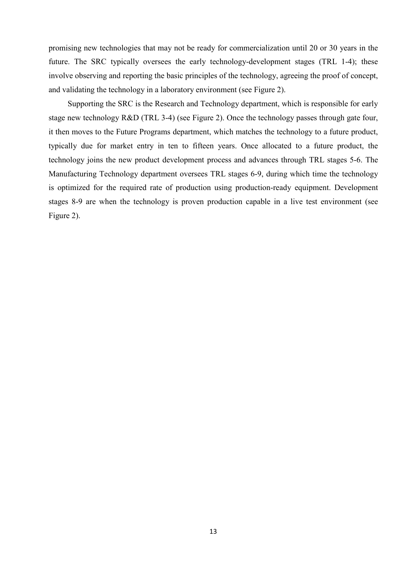promising new technologies that may not be ready for commercialization until 20 or 30 years in the future. The SRC typically oversees the early technology-development stages (TRL 1-4); these involve observing and reporting the basic principles of the technology, agreeing the proof of concept, and validating the technology in a laboratory environment (see Figure 2).

Supporting the SRC is the Research and Technology department, which is responsible for early stage new technology R&D (TRL 3-4) (see Figure 2). Once the technology passes through gate four, it then moves to the Future Programs department, which matches the technology to a future product, typically due for market entry in ten to fifteen years. Once allocated to a future product, the technology joins the new product development process and advances through TRL stages 5-6. The Manufacturing Technology department oversees TRL stages 6-9, during which time the technology is optimized for the required rate of production using production-ready equipment. Development stages 8-9 are when the technology is proven production capable in a live test environment (see Figure 2).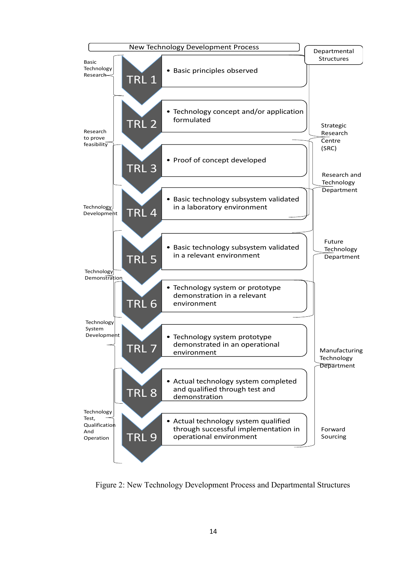

Figure 2: New Technology Development Process and Departmental Structures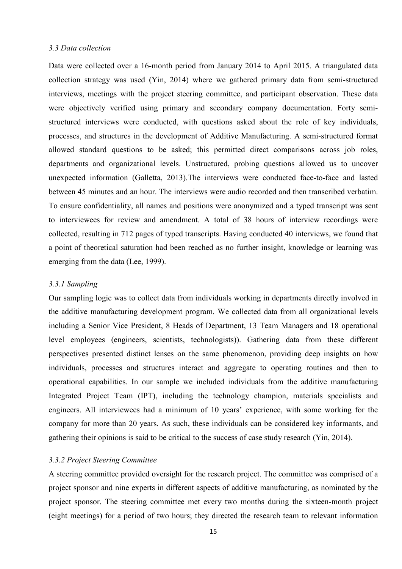#### *3.3 Data collection*

Data were collected over a 16-month period from January 2014 to April 2015. A triangulated data collection strategy was used (Yin, 2014) where we gathered primary data from semi-structured interviews, meetings with the project steering committee, and participant observation. These data were objectively verified using primary and secondary company documentation. Forty semistructured interviews were conducted, with questions asked about the role of key individuals, processes, and structures in the development of Additive Manufacturing. A semi-structured format allowed standard questions to be asked; this permitted direct comparisons across job roles, departments and organizational levels. Unstructured, probing questions allowed us to uncover unexpected information (Galletta, 2013).The interviews were conducted face-to-face and lasted between 45 minutes and an hour. The interviews were audio recorded and then transcribed verbatim. To ensure confidentiality, all names and positions were anonymized and a typed transcript was sent to interviewees for review and amendment. A total of 38 hours of interview recordings were collected, resulting in 712 pages of typed transcripts. Having conducted 40 interviews, we found that a point of theoretical saturation had been reached as no further insight, knowledge or learning was emerging from the data (Lee, 1999).

#### *3.3.1 Sampling*

Our sampling logic was to collect data from individuals working in departments directly involved in the additive manufacturing development program. We collected data from all organizational levels including a Senior Vice President, 8 Heads of Department, 13 Team Managers and 18 operational level employees (engineers, scientists, technologists)). Gathering data from these different perspectives presented distinct lenses on the same phenomenon, providing deep insights on how individuals, processes and structures interact and aggregate to operating routines and then to operational capabilities. In our sample we included individuals from the additive manufacturing Integrated Project Team (IPT), including the technology champion, materials specialists and engineers. All interviewees had a minimum of 10 years' experience, with some working for the company for more than 20 years. As such, these individuals can be considered key informants, and gathering their opinions is said to be critical to the success of case study research (Yin, 2014).

#### *3.3.2 Project Steering Committee*

A steering committee provided oversight for the research project. The committee was comprised of a project sponsor and nine experts in different aspects of additive manufacturing, as nominated by the project sponsor. The steering committee met every two months during the sixteen-month project (eight meetings) for a period of two hours; they directed the research team to relevant information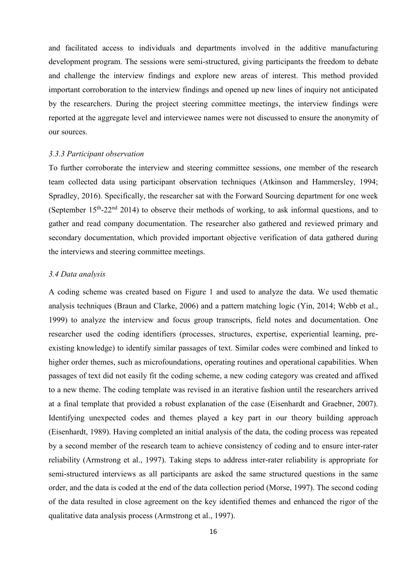and facilitated access to individuals and departments involved in the additive manufacturing development program. The sessions were semi-structured, giving participants the freedom to debate and challenge the interview findings and explore new areas of interest. This method provided important corroboration to the interview findings and opened up new lines of inquiry not anticipated by the researchers. During the project steering committee meetings, the interview findings were reported at the aggregate level and interviewee names were not discussed to ensure the anonymity of our sources.

#### *3.3.3 Participant observation*

To further corroborate the interview and steering committee sessions, one member of the research team collected data using participant observation techniques (Atkinson and Hammersley, 1994; Spradley, 2016). Specifically, the researcher sat with the Forward Sourcing department for one week (September  $15<sup>th</sup> - 22<sup>nd</sup>$  2014) to observe their methods of working, to ask informal questions, and to gather and read company documentation. The researcher also gathered and reviewed primary and secondary documentation, which provided important objective verification of data gathered during the interviews and steering committee meetings.

#### *3.4 Data analysis*

A coding scheme was created based on Figure 1 and used to analyze the data. We used thematic analysis techniques (Braun and Clarke, 2006) and a pattern matching logic (Yin, 2014; Webb et al., 1999) to analyze the interview and focus group transcripts, field notes and documentation. One researcher used the coding identifiers (processes, structures, expertise, experiential learning, preexisting knowledge) to identify similar passages of text. Similar codes were combined and linked to higher order themes, such as microfoundations, operating routines and operational capabilities. When passages of text did not easily fit the coding scheme, a new coding category was created and affixed to a new theme. The coding template was revised in an iterative fashion until the researchers arrived at a final template that provided a robust explanation of the case (Eisenhardt and Graebner, 2007). Identifying unexpected codes and themes played a key part in our theory building approach (Eisenhardt, 1989). Having completed an initial analysis of the data, the coding process was repeated by a second member of the research team to achieve consistency of coding and to ensure inter-rater reliability (Armstrong et al., 1997). Taking steps to address inter-rater reliability is appropriate for semi-structured interviews as all participants are asked the same structured questions in the same order, and the data is coded at the end of the data collection period (Morse, 1997). The second coding of the data resulted in close agreement on the key identified themes and enhanced the rigor of the qualitative data analysis process (Armstrong et al., 1997).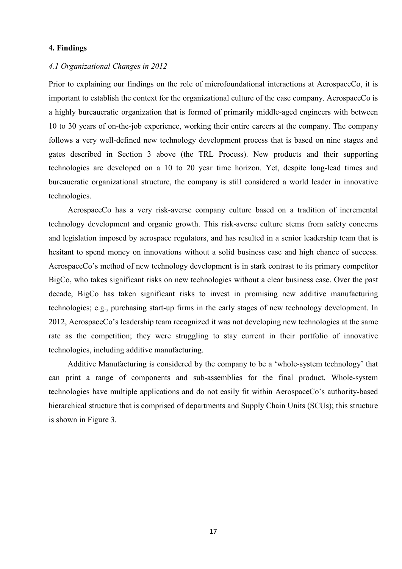#### **4. Findings**

#### *4.1 Organizational Changes in 2012*

Prior to explaining our findings on the role of microfoundational interactions at AerospaceCo, it is important to establish the context for the organizational culture of the case company. AerospaceCo is a highly bureaucratic organization that is formed of primarily middle-aged engineers with between 10 to 30 years of on-the-job experience, working their entire careers at the company. The company follows a very well-defined new technology development process that is based on nine stages and gates described in Section 3 above (the TRL Process). New products and their supporting technologies are developed on a 10 to 20 year time horizon. Yet, despite long-lead times and bureaucratic organizational structure, the company is still considered a world leader in innovative technologies.

AerospaceCo has a very risk-averse company culture based on a tradition of incremental technology development and organic growth. This risk-averse culture stems from safety concerns and legislation imposed by aerospace regulators, and has resulted in a senior leadership team that is hesitant to spend money on innovations without a solid business case and high chance of success. AerospaceCo's method of new technology development is in stark contrast to its primary competitor BigCo, who takes significant risks on new technologies without a clear business case. Over the past decade, BigCo has taken significant risks to invest in promising new additive manufacturing technologies; e.g., purchasing start-up firms in the early stages of new technology development. In 2012, AerospaceCo's leadership team recognized it was not developing new technologies at the same rate as the competition; they were struggling to stay current in their portfolio of innovative technologies, including additive manufacturing.

Additive Manufacturing is considered by the company to be a 'whole-system technology' that can print a range of components and sub-assemblies for the final product. Whole-system technologies have multiple applications and do not easily fit within AerospaceCo's authority-based hierarchical structure that is comprised of departments and Supply Chain Units (SCUs); this structure is shown in Figure 3.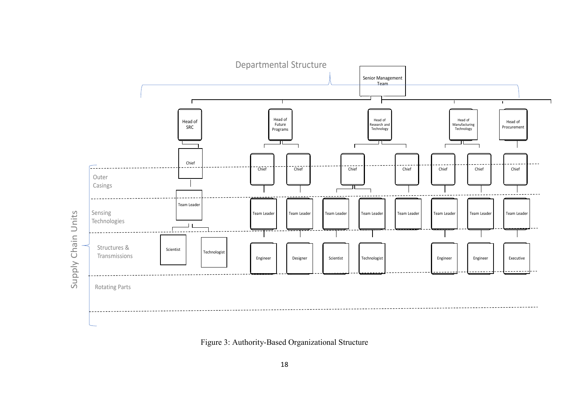

Figure 3: Authority-Based Organizational Structure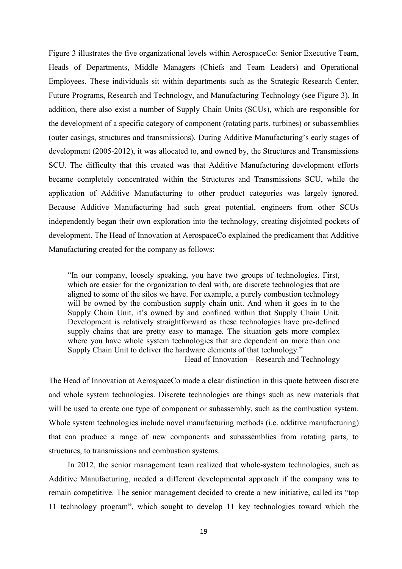Figure 3 illustrates the five organizational levels within AerospaceCo: Senior Executive Team, Heads of Departments, Middle Managers (Chiefs and Team Leaders) and Operational Employees. These individuals sit within departments such as the Strategic Research Center, Future Programs, Research and Technology, and Manufacturing Technology (see Figure 3). In addition, there also exist a number of Supply Chain Units (SCUs), which are responsible for the development of a specific category of component (rotating parts, turbines) or subassemblies (outer casings, structures and transmissions). During Additive Manufacturing's early stages of development (2005-2012), it was allocated to, and owned by, the Structures and Transmissions SCU. The difficulty that this created was that Additive Manufacturing development efforts became completely concentrated within the Structures and Transmissions SCU, while the application of Additive Manufacturing to other product categories was largely ignored. Because Additive Manufacturing had such great potential, engineers from other SCUs independently began their own exploration into the technology, creating disjointed pockets of development. The Head of Innovation at AerospaceCo explained the predicament that Additive Manufacturing created for the company as follows:

"In our company, loosely speaking, you have two groups of technologies. First, which are easier for the organization to deal with, are discrete technologies that are aligned to some of the silos we have. For example, a purely combustion technology will be owned by the combustion supply chain unit. And when it goes in to the Supply Chain Unit, it's owned by and confined within that Supply Chain Unit. Development is relatively straightforward as these technologies have pre-defined supply chains that are pretty easy to manage. The situation gets more complex where you have whole system technologies that are dependent on more than one Supply Chain Unit to deliver the hardware elements of that technology."

Head of Innovation – Research and Technology

The Head of Innovation at AerospaceCo made a clear distinction in this quote between discrete and whole system technologies. Discrete technologies are things such as new materials that will be used to create one type of component or subassembly, such as the combustion system. Whole system technologies include novel manufacturing methods (i.e. additive manufacturing) that can produce a range of new components and subassemblies from rotating parts, to structures, to transmissions and combustion systems.

In 2012, the senior management team realized that whole-system technologies, such as Additive Manufacturing, needed a different developmental approach if the company was to remain competitive. The senior management decided to create a new initiative, called its "top 11 technology program", which sought to develop 11 key technologies toward which the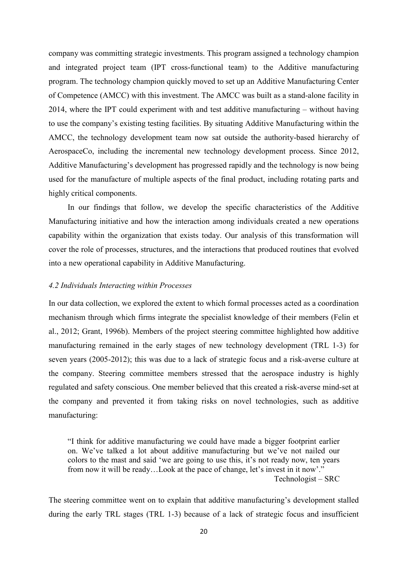company was committing strategic investments. This program assigned a technology champion and integrated project team (IPT cross-functional team) to the Additive manufacturing program. The technology champion quickly moved to set up an Additive Manufacturing Center of Competence (AMCC) with this investment. The AMCC was built as a stand-alone facility in 2014, where the IPT could experiment with and test additive manufacturing – without having to use the company's existing testing facilities. By situating Additive Manufacturing within the AMCC, the technology development team now sat outside the authority-based hierarchy of AerospaceCo, including the incremental new technology development process. Since 2012, Additive Manufacturing's development has progressed rapidly and the technology is now being used for the manufacture of multiple aspects of the final product, including rotating parts and highly critical components.

In our findings that follow, we develop the specific characteristics of the Additive Manufacturing initiative and how the interaction among individuals created a new operations capability within the organization that exists today. Our analysis of this transformation will cover the role of processes, structures, and the interactions that produced routines that evolved into a new operational capability in Additive Manufacturing.

#### *4.2 Individuals Interacting within Processes*

In our data collection, we explored the extent to which formal processes acted as a coordination mechanism through which firms integrate the specialist knowledge of their members (Felin et al., 2012; Grant, 1996b). Members of the project steering committee highlighted how additive manufacturing remained in the early stages of new technology development (TRL 1-3) for seven years (2005-2012); this was due to a lack of strategic focus and a risk-averse culture at the company. Steering committee members stressed that the aerospace industry is highly regulated and safety conscious. One member believed that this created a risk-averse mind-set at the company and prevented it from taking risks on novel technologies, such as additive manufacturing:

"I think for additive manufacturing we could have made a bigger footprint earlier on. We've talked a lot about additive manufacturing but we've not nailed our colors to the mast and said 'we are going to use this, it's not ready now, ten years from now it will be ready…Look at the pace of change, let's invest in it now'." Technologist – SRC

The steering committee went on to explain that additive manufacturing's development stalled during the early TRL stages (TRL 1-3) because of a lack of strategic focus and insufficient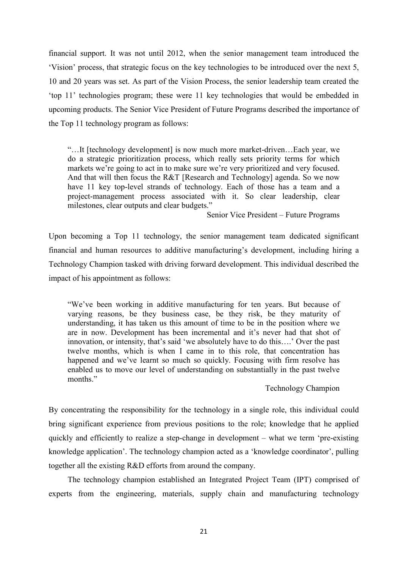financial support. It was not until 2012, when the senior management team introduced the 'Vision' process, that strategic focus on the key technologies to be introduced over the next 5, 10 and 20 years was set. As part of the Vision Process, the senior leadership team created the 'top 11' technologies program; these were 11 key technologies that would be embedded in upcoming products. The Senior Vice President of Future Programs described the importance of the Top 11 technology program as follows:

"…It [technology development] is now much more market-driven…Each year, we do a strategic prioritization process, which really sets priority terms for which markets we're going to act in to make sure we're very prioritized and very focused. And that will then focus the R&T [Research and Technology] agenda. So we now have 11 key top-level strands of technology. Each of those has a team and a project-management process associated with it. So clear leadership, clear milestones, clear outputs and clear budgets."

Senior Vice President – Future Programs

Upon becoming a Top 11 technology, the senior management team dedicated significant financial and human resources to additive manufacturing's development, including hiring a Technology Champion tasked with driving forward development. This individual described the impact of his appointment as follows:

"We've been working in additive manufacturing for ten years. But because of varying reasons, be they business case, be they risk, be they maturity of understanding, it has taken us this amount of time to be in the position where we are in now. Development has been incremental and it's never had that shot of innovation, or intensity, that's said 'we absolutely have to do this….' Over the past twelve months, which is when I came in to this role, that concentration has happened and we've learnt so much so quickly. Focusing with firm resolve has enabled us to move our level of understanding on substantially in the past twelve months."

#### Technology Champion

By concentrating the responsibility for the technology in a single role, this individual could bring significant experience from previous positions to the role; knowledge that he applied quickly and efficiently to realize a step-change in development – what we term 'pre-existing knowledge application'. The technology champion acted as a 'knowledge coordinator', pulling together all the existing R&D efforts from around the company.

The technology champion established an Integrated Project Team (IPT) comprised of experts from the engineering, materials, supply chain and manufacturing technology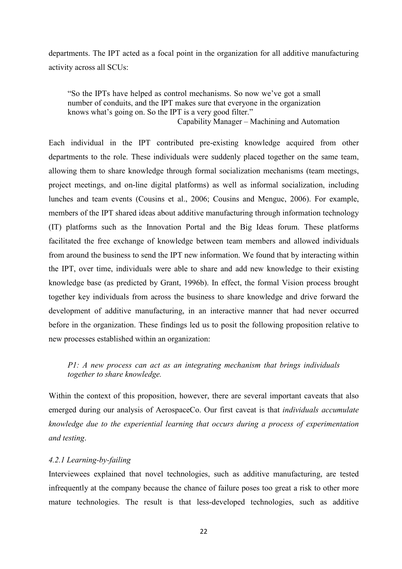departments. The IPT acted as a focal point in the organization for all additive manufacturing activity across all SCUs:

"So the IPTs have helped as control mechanisms. So now we've got a small number of conduits, and the IPT makes sure that everyone in the organization knows what's going on. So the IPT is a very good filter."

Capability Manager – Machining and Automation

Each individual in the IPT contributed pre-existing knowledge acquired from other departments to the role. These individuals were suddenly placed together on the same team, allowing them to share knowledge through formal socialization mechanisms (team meetings, project meetings, and on-line digital platforms) as well as informal socialization, including lunches and team events (Cousins et al., 2006; Cousins and Menguc, 2006). For example, members of the IPT shared ideas about additive manufacturing through information technology (IT) platforms such as the Innovation Portal and the Big Ideas forum. These platforms facilitated the free exchange of knowledge between team members and allowed individuals from around the business to send the IPT new information. We found that by interacting within the IPT, over time, individuals were able to share and add new knowledge to their existing knowledge base (as predicted by Grant, 1996b). In effect, the formal Vision process brought together key individuals from across the business to share knowledge and drive forward the development of additive manufacturing, in an interactive manner that had never occurred before in the organization. These findings led us to posit the following proposition relative to new processes established within an organization:

#### *P1: A new process can act as an integrating mechanism that brings individuals together to share knowledge.*

Within the context of this proposition, however, there are several important caveats that also emerged during our analysis of AerospaceCo. Our first caveat is that *individuals accumulate knowledge due to the experiential learning that occurs during a process of experimentation and testing*.

#### *4.2.1 Learning-by-failing*

Interviewees explained that novel technologies, such as additive manufacturing, are tested infrequently at the company because the chance of failure poses too great a risk to other more mature technologies. The result is that less-developed technologies, such as additive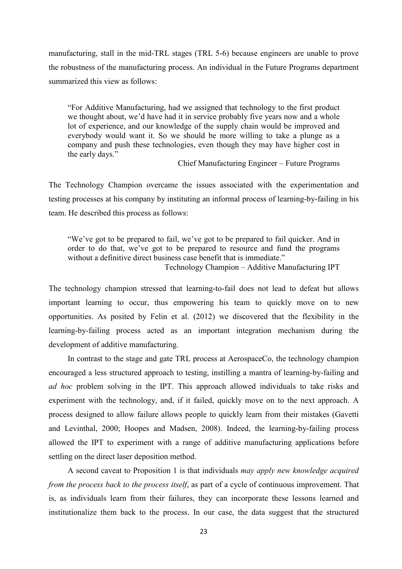manufacturing, stall in the mid-TRL stages (TRL 5-6) because engineers are unable to prove the robustness of the manufacturing process. An individual in the Future Programs department summarized this view as follows:

"For Additive Manufacturing, had we assigned that technology to the first product we thought about, we'd have had it in service probably five years now and a whole lot of experience, and our knowledge of the supply chain would be improved and everybody would want it. So we should be more willing to take a plunge as a company and push these technologies, even though they may have higher cost in the early days."

Chief Manufacturing Engineer – Future Programs

The Technology Champion overcame the issues associated with the experimentation and testing processes at his company by instituting an informal process of learning-by-failing in his team. He described this process as follows:

"We've got to be prepared to fail, we've got to be prepared to fail quicker. And in order to do that, we've got to be prepared to resource and fund the programs without a definitive direct business case benefit that is immediate." Technology Champion – Additive Manufacturing IPT

The technology champion stressed that learning-to-fail does not lead to defeat but allows important learning to occur, thus empowering his team to quickly move on to new opportunities. As posited by Felin et al. (2012) we discovered that the flexibility in the learning-by-failing process acted as an important integration mechanism during the development of additive manufacturing.

In contrast to the stage and gate TRL process at AerospaceCo, the technology champion encouraged a less structured approach to testing, instilling a mantra of learning-by-failing and *ad hoc* problem solving in the IPT. This approach allowed individuals to take risks and experiment with the technology, and, if it failed, quickly move on to the next approach. A process designed to allow failure allows people to quickly learn from their mistakes (Gavetti and Levinthal, 2000; Hoopes and Madsen, 2008). Indeed, the learning-by-failing process allowed the IPT to experiment with a range of additive manufacturing applications before settling on the direct laser deposition method.

A second caveat to Proposition 1 is that individuals *may apply new knowledge acquired from the process back to the process itself*, as part of a cycle of continuous improvement. That is, as individuals learn from their failures, they can incorporate these lessons learned and institutionalize them back to the process. In our case, the data suggest that the structured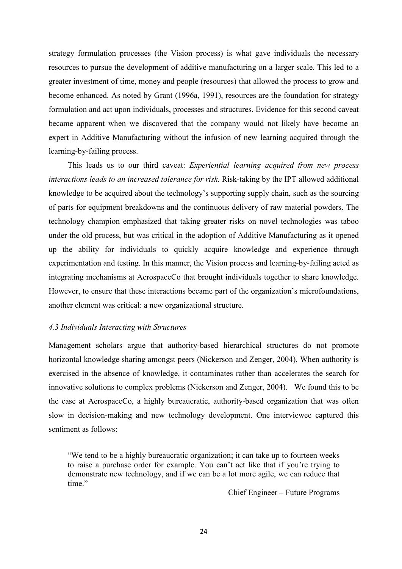strategy formulation processes (the Vision process) is what gave individuals the necessary resources to pursue the development of additive manufacturing on a larger scale. This led to a greater investment of time, money and people (resources) that allowed the process to grow and become enhanced. As noted by Grant (1996a, 1991), resources are the foundation for strategy formulation and act upon individuals, processes and structures. Evidence for this second caveat became apparent when we discovered that the company would not likely have become an expert in Additive Manufacturing without the infusion of new learning acquired through the learning-by-failing process.

This leads us to our third caveat: *Experiential learning acquired from new process interactions leads to an increased tolerance for risk*. Risk-taking by the IPT allowed additional knowledge to be acquired about the technology's supporting supply chain, such as the sourcing of parts for equipment breakdowns and the continuous delivery of raw material powders. The technology champion emphasized that taking greater risks on novel technologies was taboo under the old process, but was critical in the adoption of Additive Manufacturing as it opened up the ability for individuals to quickly acquire knowledge and experience through experimentation and testing. In this manner, the Vision process and learning-by-failing acted as integrating mechanisms at AerospaceCo that brought individuals together to share knowledge. However, to ensure that these interactions became part of the organization's microfoundations, another element was critical: a new organizational structure.

#### *4.3 Individuals Interacting with Structures*

Management scholars argue that authority-based hierarchical structures do not promote horizontal knowledge sharing amongst peers (Nickerson and Zenger, 2004). When authority is exercised in the absence of knowledge, it contaminates rather than accelerates the search for innovative solutions to complex problems (Nickerson and Zenger, 2004). We found this to be the case at AerospaceCo, a highly bureaucratic, authority-based organization that was often slow in decision-making and new technology development. One interviewee captured this sentiment as follows:

"We tend to be a highly bureaucratic organization; it can take up to fourteen weeks to raise a purchase order for example. You can't act like that if you're trying to demonstrate new technology, and if we can be a lot more agile, we can reduce that time."

Chief Engineer – Future Programs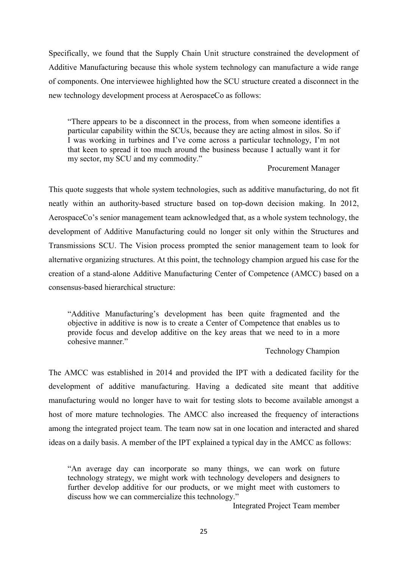Specifically, we found that the Supply Chain Unit structure constrained the development of Additive Manufacturing because this whole system technology can manufacture a wide range of components. One interviewee highlighted how the SCU structure created a disconnect in the new technology development process at AerospaceCo as follows:

"There appears to be a disconnect in the process, from when someone identifies a particular capability within the SCUs, because they are acting almost in silos. So if I was working in turbines and I've come across a particular technology, I'm not that keen to spread it too much around the business because I actually want it for my sector, my SCU and my commodity."

#### Procurement Manager

This quote suggests that whole system technologies, such as additive manufacturing, do not fit neatly within an authority-based structure based on top-down decision making. In 2012, AerospaceCo's senior management team acknowledged that, as a whole system technology, the development of Additive Manufacturing could no longer sit only within the Structures and Transmissions SCU. The Vision process prompted the senior management team to look for alternative organizing structures. At this point, the technology champion argued his case for the creation of a stand-alone Additive Manufacturing Center of Competence (AMCC) based on a consensus-based hierarchical structure:

"Additive Manufacturing's development has been quite fragmented and the objective in additive is now is to create a Center of Competence that enables us to provide focus and develop additive on the key areas that we need to in a more cohesive manner."

#### Technology Champion

The AMCC was established in 2014 and provided the IPT with a dedicated facility for the development of additive manufacturing. Having a dedicated site meant that additive manufacturing would no longer have to wait for testing slots to become available amongst a host of more mature technologies. The AMCC also increased the frequency of interactions among the integrated project team. The team now sat in one location and interacted and shared ideas on a daily basis. A member of the IPT explained a typical day in the AMCC as follows:

"An average day can incorporate so many things, we can work on future technology strategy, we might work with technology developers and designers to further develop additive for our products, or we might meet with customers to discuss how we can commercialize this technology."

Integrated Project Team member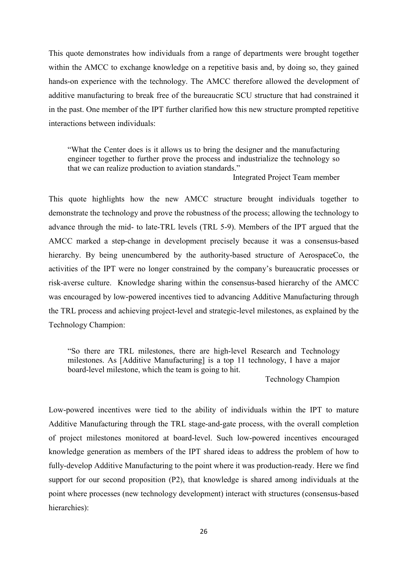This quote demonstrates how individuals from a range of departments were brought together within the AMCC to exchange knowledge on a repetitive basis and, by doing so, they gained hands-on experience with the technology. The AMCC therefore allowed the development of additive manufacturing to break free of the bureaucratic SCU structure that had constrained it in the past. One member of the IPT further clarified how this new structure prompted repetitive interactions between individuals:

"What the Center does is it allows us to bring the designer and the manufacturing engineer together to further prove the process and industrialize the technology so that we can realize production to aviation standards."

Integrated Project Team member

This quote highlights how the new AMCC structure brought individuals together to demonstrate the technology and prove the robustness of the process; allowing the technology to advance through the mid- to late-TRL levels (TRL 5-9). Members of the IPT argued that the AMCC marked a step-change in development precisely because it was a consensus-based hierarchy. By being unencumbered by the authority-based structure of AerospaceCo, the activities of the IPT were no longer constrained by the company's bureaucratic processes or risk-averse culture. Knowledge sharing within the consensus-based hierarchy of the AMCC was encouraged by low-powered incentives tied to advancing Additive Manufacturing through the TRL process and achieving project-level and strategic-level milestones, as explained by the Technology Champion:

"So there are TRL milestones, there are high-level Research and Technology milestones. As [Additive Manufacturing] is a top 11 technology, I have a major board-level milestone, which the team is going to hit.

Technology Champion

Low-powered incentives were tied to the ability of individuals within the IPT to mature Additive Manufacturing through the TRL stage-and-gate process, with the overall completion of project milestones monitored at board-level. Such low-powered incentives encouraged knowledge generation as members of the IPT shared ideas to address the problem of how to fully-develop Additive Manufacturing to the point where it was production-ready. Here we find support for our second proposition (P2), that knowledge is shared among individuals at the point where processes (new technology development) interact with structures (consensus-based hierarchies):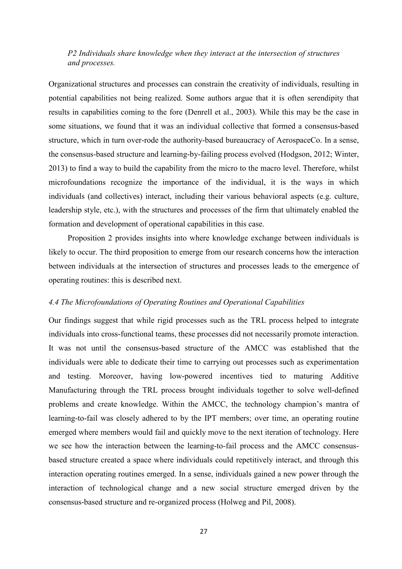#### *P2 Individuals share knowledge when they interact at the intersection of structures and processes.*

Organizational structures and processes can constrain the creativity of individuals, resulting in potential capabilities not being realized. Some authors argue that it is often serendipity that results in capabilities coming to the fore (Denrell et al., 2003). While this may be the case in some situations, we found that it was an individual collective that formed a consensus-based structure, which in turn over-rode the authority-based bureaucracy of AerospaceCo. In a sense, the consensus-based structure and learning-by-failing process evolved (Hodgson, 2012; Winter, 2013) to find a way to build the capability from the micro to the macro level. Therefore, whilst microfoundations recognize the importance of the individual, it is the ways in which individuals (and collectives) interact, including their various behavioral aspects (e.g. culture, leadership style, etc.), with the structures and processes of the firm that ultimately enabled the formation and development of operational capabilities in this case.

Proposition 2 provides insights into where knowledge exchange between individuals is likely to occur. The third proposition to emerge from our research concerns how the interaction between individuals at the intersection of structures and processes leads to the emergence of operating routines: this is described next.

#### *4.4 The Microfoundations of Operating Routines and Operational Capabilities*

Our findings suggest that while rigid processes such as the TRL process helped to integrate individuals into cross-functional teams, these processes did not necessarily promote interaction. It was not until the consensus-based structure of the AMCC was established that the individuals were able to dedicate their time to carrying out processes such as experimentation and testing. Moreover, having low-powered incentives tied to maturing Additive Manufacturing through the TRL process brought individuals together to solve well-defined problems and create knowledge. Within the AMCC, the technology champion's mantra of learning-to-fail was closely adhered to by the IPT members; over time, an operating routine emerged where members would fail and quickly move to the next iteration of technology. Here we see how the interaction between the learning-to-fail process and the AMCC consensusbased structure created a space where individuals could repetitively interact, and through this interaction operating routines emerged. In a sense, individuals gained a new power through the interaction of technological change and a new social structure emerged driven by the consensus-based structure and re-organized process (Holweg and Pil, 2008).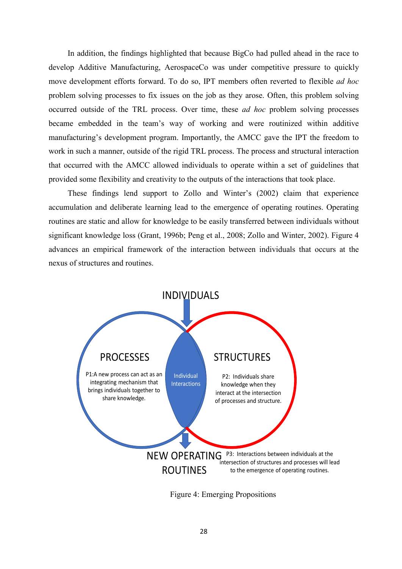In addition, the findings highlighted that because BigCo had pulled ahead in the race to develop Additive Manufacturing, AerospaceCo was under competitive pressure to quickly move development efforts forward. To do so, IPT members often reverted to flexible *ad hoc* problem solving processes to fix issues on the job as they arose. Often, this problem solving occurred outside of the TRL process. Over time, these *ad hoc* problem solving processes became embedded in the team's way of working and were routinized within additive manufacturing's development program. Importantly, the AMCC gave the IPT the freedom to work in such a manner, outside of the rigid TRL process. The process and structural interaction that occurred with the AMCC allowed individuals to operate within a set of guidelines that provided some flexibility and creativity to the outputs of the interactions that took place.

These findings lend support to Zollo and Winter's (2002) claim that experience accumulation and deliberate learning lead to the emergence of operating routines. Operating routines are static and allow for knowledge to be easily transferred between individuals without significant knowledge loss (Grant, 1996b; Peng et al., 2008; Zollo and Winter, 2002). Figure 4 advances an empirical framework of the interaction between individuals that occurs at the nexus of structures and routines.



Figure 4: Emerging Propositions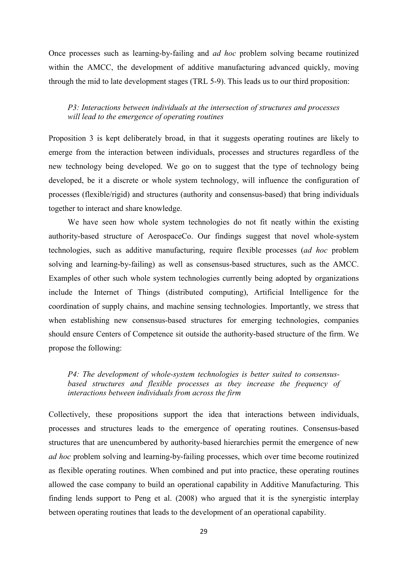Once processes such as learning-by-failing and *ad hoc* problem solving became routinized within the AMCC, the development of additive manufacturing advanced quickly, moving through the mid to late development stages (TRL 5-9). This leads us to our third proposition:

#### *P3: Interactions between individuals at the intersection of structures and processes will lead to the emergence of operating routines*

Proposition 3 is kept deliberately broad, in that it suggests operating routines are likely to emerge from the interaction between individuals, processes and structures regardless of the new technology being developed. We go on to suggest that the type of technology being developed, be it a discrete or whole system technology, will influence the configuration of processes (flexible/rigid) and structures (authority and consensus-based) that bring individuals together to interact and share knowledge.

We have seen how whole system technologies do not fit neatly within the existing authority-based structure of AerospaceCo. Our findings suggest that novel whole-system technologies, such as additive manufacturing, require flexible processes (*ad hoc* problem solving and learning-by-failing) as well as consensus-based structures, such as the AMCC. Examples of other such whole system technologies currently being adopted by organizations include the Internet of Things (distributed computing), Artificial Intelligence for the coordination of supply chains, and machine sensing technologies. Importantly, we stress that when establishing new consensus-based structures for emerging technologies, companies should ensure Centers of Competence sit outside the authority-based structure of the firm. We propose the following:

*P4: The development of whole-system technologies is better suited to consensusbased structures and flexible processes as they increase the frequency of interactions between individuals from across the firm*

Collectively, these propositions support the idea that interactions between individuals, processes and structures leads to the emergence of operating routines. Consensus-based structures that are unencumbered by authority-based hierarchies permit the emergence of new *ad hoc* problem solving and learning-by-failing processes, which over time become routinized as flexible operating routines. When combined and put into practice, these operating routines allowed the case company to build an operational capability in Additive Manufacturing. This finding lends support to Peng et al. (2008) who argued that it is the synergistic interplay between operating routines that leads to the development of an operational capability.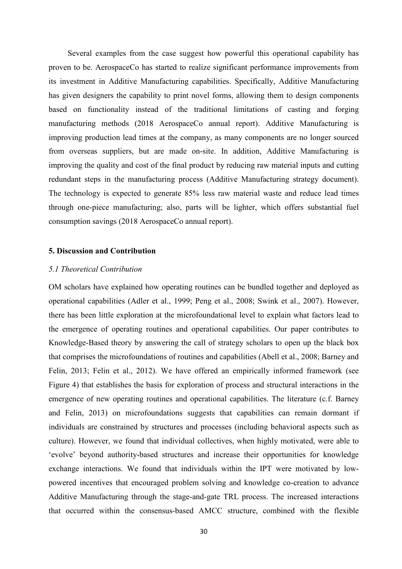Several examples from the case suggest how powerful this operational capability has proven to be. AerospaceCo has started to realize significant performance improvements from its investment in Additive Manufacturing capabilities. Specifically, Additive Manufacturing has given designers the capability to print novel forms, allowing them to design components based on functionality instead of the traditional limitations of casting and forging manufacturing methods (2018 AerospaceCo annual report). Additive Manufacturing is improving production lead times at the company, as many components are no longer sourced from overseas suppliers, but are made on-site. In addition, Additive Manufacturing is improving the quality and cost of the final product by reducing raw material inputs and cutting redundant steps in the manufacturing process (Additive Manufacturing strategy document). The technology is expected to generate 85% less raw material waste and reduce lead times through one-piece manufacturing; also, parts will be lighter, which offers substantial fuel consumption savings (2018 AerospaceCo annual report).

#### **5. Discussion and Contribution**

#### *5.1 Theoretical Contribution*

OM scholars have explained how operating routines can be bundled together and deployed as operational capabilities (Adler et al., 1999; Peng et al., 2008; Swink et al., 2007). However, there has been little exploration at the microfoundational level to explain what factors lead to the emergence of operating routines and operational capabilities. Our paper contributes to Knowledge-Based theory by answering the call of strategy scholars to open up the black box that comprises the microfoundations of routines and capabilities (Abell et al., 2008; Barney and Felin, 2013; Felin et al., 2012). We have offered an empirically informed framework (see Figure 4) that establishes the basis for exploration of process and structural interactions in the emergence of new operating routines and operational capabilities. The literature (c.f. Barney and Felin, 2013) on microfoundations suggests that capabilities can remain dormant if individuals are constrained by structures and processes (including behavioral aspects such as culture). However, we found that individual collectives, when highly motivated, were able to 'evolve' beyond authority-based structures and increase their opportunities for knowledge exchange interactions. We found that individuals within the IPT were motivated by lowpowered incentives that encouraged problem solving and knowledge co-creation to advance Additive Manufacturing through the stage-and-gate TRL process. The increased interactions that occurred within the consensus-based AMCC structure, combined with the flexible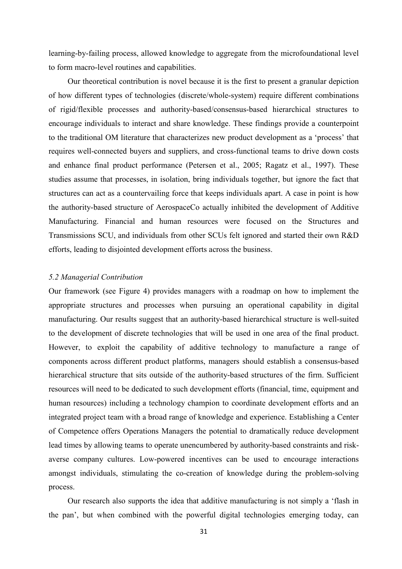learning-by-failing process, allowed knowledge to aggregate from the microfoundational level to form macro-level routines and capabilities.

Our theoretical contribution is novel because it is the first to present a granular depiction of how different types of technologies (discrete/whole-system) require different combinations of rigid/flexible processes and authority-based/consensus-based hierarchical structures to encourage individuals to interact and share knowledge. These findings provide a counterpoint to the traditional OM literature that characterizes new product development as a 'process' that requires well-connected buyers and suppliers, and cross-functional teams to drive down costs and enhance final product performance (Petersen et al., 2005; Ragatz et al., 1997). These studies assume that processes, in isolation, bring individuals together, but ignore the fact that structures can act as a countervailing force that keeps individuals apart. A case in point is how the authority-based structure of AerospaceCo actually inhibited the development of Additive Manufacturing. Financial and human resources were focused on the Structures and Transmissions SCU, and individuals from other SCUs felt ignored and started their own R&D efforts, leading to disjointed development efforts across the business.

#### *5.2 Managerial Contribution*

Our framework (see Figure 4) provides managers with a roadmap on how to implement the appropriate structures and processes when pursuing an operational capability in digital manufacturing. Our results suggest that an authority-based hierarchical structure is well-suited to the development of discrete technologies that will be used in one area of the final product. However, to exploit the capability of additive technology to manufacture a range of components across different product platforms, managers should establish a consensus-based hierarchical structure that sits outside of the authority-based structures of the firm. Sufficient resources will need to be dedicated to such development efforts (financial, time, equipment and human resources) including a technology champion to coordinate development efforts and an integrated project team with a broad range of knowledge and experience. Establishing a Center of Competence offers Operations Managers the potential to dramatically reduce development lead times by allowing teams to operate unencumbered by authority-based constraints and riskaverse company cultures. Low-powered incentives can be used to encourage interactions amongst individuals, stimulating the co-creation of knowledge during the problem-solving process.

Our research also supports the idea that additive manufacturing is not simply a 'flash in the pan', but when combined with the powerful digital technologies emerging today, can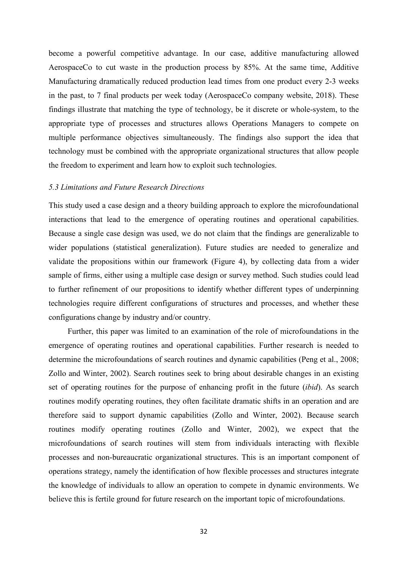become a powerful competitive advantage. In our case, additive manufacturing allowed AerospaceCo to cut waste in the production process by 85%. At the same time, Additive Manufacturing dramatically reduced production lead times from one product every 2-3 weeks in the past, to 7 final products per week today (AerospaceCo company website, 2018). These findings illustrate that matching the type of technology, be it discrete or whole-system, to the appropriate type of processes and structures allows Operations Managers to compete on multiple performance objectives simultaneously. The findings also support the idea that technology must be combined with the appropriate organizational structures that allow people the freedom to experiment and learn how to exploit such technologies.

#### *5.3 Limitations and Future Research Directions*

This study used a case design and a theory building approach to explore the microfoundational interactions that lead to the emergence of operating routines and operational capabilities. Because a single case design was used, we do not claim that the findings are generalizable to wider populations (statistical generalization). Future studies are needed to generalize and validate the propositions within our framework (Figure 4), by collecting data from a wider sample of firms, either using a multiple case design or survey method. Such studies could lead to further refinement of our propositions to identify whether different types of underpinning technologies require different configurations of structures and processes, and whether these configurations change by industry and/or country.

Further, this paper was limited to an examination of the role of microfoundations in the emergence of operating routines and operational capabilities. Further research is needed to determine the microfoundations of search routines and dynamic capabilities (Peng et al., 2008; Zollo and Winter, 2002). Search routines seek to bring about desirable changes in an existing set of operating routines for the purpose of enhancing profit in the future (*ibid*). As search routines modify operating routines, they often facilitate dramatic shifts in an operation and are therefore said to support dynamic capabilities (Zollo and Winter, 2002). Because search routines modify operating routines (Zollo and Winter, 2002), we expect that the microfoundations of search routines will stem from individuals interacting with flexible processes and non-bureaucratic organizational structures. This is an important component of operations strategy, namely the identification of how flexible processes and structures integrate the knowledge of individuals to allow an operation to compete in dynamic environments. We believe this is fertile ground for future research on the important topic of microfoundations.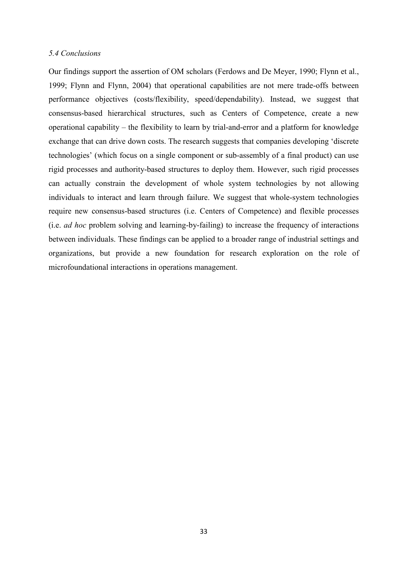#### *5.4 Conclusions*

Our findings support the assertion of OM scholars (Ferdows and De Meyer, 1990; Flynn et al., 1999; Flynn and Flynn, 2004) that operational capabilities are not mere trade-offs between performance objectives (costs/flexibility, speed/dependability). Instead, we suggest that consensus-based hierarchical structures, such as Centers of Competence, create a new operational capability – the flexibility to learn by trial-and-error and a platform for knowledge exchange that can drive down costs. The research suggests that companies developing 'discrete technologies' (which focus on a single component or sub-assembly of a final product) can use rigid processes and authority-based structures to deploy them. However, such rigid processes can actually constrain the development of whole system technologies by not allowing individuals to interact and learn through failure. We suggest that whole-system technologies require new consensus-based structures (i.e. Centers of Competence) and flexible processes (i.e. *ad hoc* problem solving and learning-by-failing) to increase the frequency of interactions between individuals. These findings can be applied to a broader range of industrial settings and organizations, but provide a new foundation for research exploration on the role of microfoundational interactions in operations management.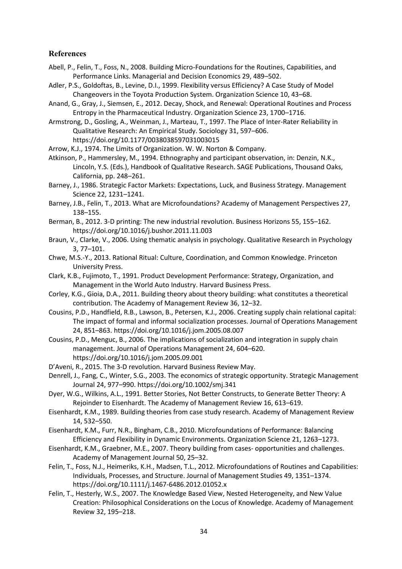#### **References**

- Abell, P., Felin, T., Foss, N., 2008. Building Micro-Foundations for the Routines, Capabilities, and Performance Links. Managerial and Decision Economics 29, 489–502.
- Adler, P.S., Goldoftas, B., Levine, D.I., 1999. Flexibility versus Efficiency? A Case Study of Model Changeovers in the Toyota Production System. Organization Science 10, 43–68.
- Anand, G., Gray, J., Siemsen, E., 2012. Decay, Shock, and Renewal: Operational Routines and Process Entropy in the Pharmaceutical Industry. Organization Science 23, 1700–1716.

Armstrong, D., Gosling, A., Weinman, J., Marteau, T., 1997. The Place of Inter-Rater Reliability in Qualitative Research: An Empirical Study. Sociology 31, 597–606. https://doi.org/10.1177/0038038597031003015

Arrow, K.J., 1974. The Limits of Organization. W. W. Norton & Company.

Atkinson, P., Hammersley, M., 1994. Ethnography and participant observation, in: Denzin, N.K., Lincoln, Y.S. (Eds.), Handbook of Qualitative Research. SAGE Publications, Thousand Oaks, California, pp. 248–261.

Barney, J., 1986. Strategic Factor Markets: Expectations, Luck, and Business Strategy. Management Science 22, 1231–1241.

Barney, J.B., Felin, T., 2013. What are Microfoundations? Academy of Management Perspectives 27, 138–155.

- Berman, B., 2012. 3-D printing: The new industrial revolution. Business Horizons 55, 155–162. https://doi.org/10.1016/j.bushor.2011.11.003
- Braun, V., Clarke, V., 2006. Using thematic analysis in psychology. Qualitative Research in Psychology 3, 77–101.
- Chwe, M.S.-Y., 2013. Rational Ritual: Culture, Coordination, and Common Knowledge. Princeton University Press.
- Clark, K.B., Fujimoto, T., 1991. Product Development Performance: Strategy, Organization, and Management in the World Auto Industry. Harvard Business Press.
- Corley, K.G., Gioia, D.A., 2011. Building theory about theory building: what constitutes a theoretical contribution. The Academy of Management Review 36, 12–32.
- Cousins, P.D., Handfield, R.B., Lawson, B., Petersen, K.J., 2006. Creating supply chain relational capital: The impact of formal and informal socialization processes. Journal of Operations Management 24, 851–863. https://doi.org/10.1016/j.jom.2005.08.007
- Cousins, P.D., Menguc, B., 2006. The implications of socialization and integration in supply chain management. Journal of Operations Management 24, 604–620. https://doi.org/10.1016/j.jom.2005.09.001
- D'Aveni, R., 2015. The 3-D revolution. Harvard Business Review May.
- Denrell, J., Fang, C., Winter, S.G., 2003. The economics of strategic opportunity. Strategic Management Journal 24, 977–990. https://doi.org/10.1002/smj.341
- Dyer, W.G., Wilkins, A.L., 1991. Better Stories, Not Better Constructs, to Generate Better Theory: A Rejoinder to Eisenhardt. The Academy of Management Review 16, 613–619.
- Eisenhardt, K.M., 1989. Building theories from case study research. Academy of Management Review 14, 532–550.
- Eisenhardt, K.M., Furr, N.R., Bingham, C.B., 2010. Microfoundations of Performance: Balancing Efficiency and Flexibility in Dynamic Environments. Organization Science 21, 1263–1273.
- Eisenhardt, K.M., Graebner, M.E., 2007. Theory building from cases- opportunities and challenges. Academy of Management Journal 50, 25–32.
- Felin, T., Foss, N.J., Heimeriks, K.H., Madsen, T.L., 2012. Microfoundations of Routines and Capabilities: Individuals, Processes, and Structure. Journal of Management Studies 49, 1351–1374. https://doi.org/10.1111/j.1467-6486.2012.01052.x
- Felin, T., Hesterly, W.S., 2007. The Knowledge Based View, Nested Heterogeneity, and New Value Creation: Philosophical Considerations on the Locus of Knowledge. Academy of Management Review 32, 195–218.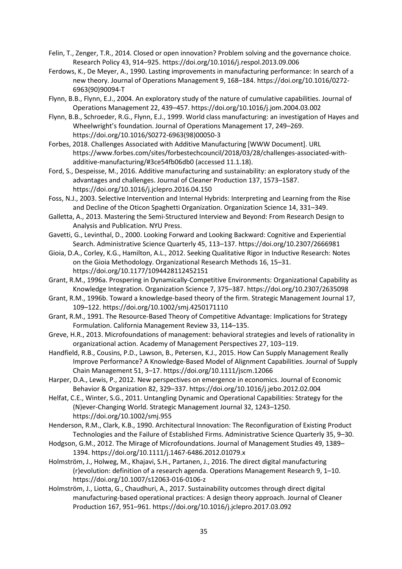- Felin, T., Zenger, T.R., 2014. Closed or open innovation? Problem solving and the governance choice. Research Policy 43, 914–925. https://doi.org/10.1016/j.respol.2013.09.006
- Ferdows, K., De Meyer, A., 1990. Lasting improvements in manufacturing performance: In search of a new theory. Journal of Operations Management 9, 168–184. https://doi.org/10.1016/0272- 6963(90)90094-T
- Flynn, B.B., Flynn, E.J., 2004. An exploratory study of the nature of cumulative capabilities. Journal of Operations Management 22, 439–457. https://doi.org/10.1016/j.jom.2004.03.002
- Flynn, B.B., Schroeder, R.G., Flynn, E.J., 1999. World class manufacturing: an investigation of Hayes and Wheelwright's foundation. Journal of Operations Management 17, 249–269. https://doi.org/10.1016/S0272-6963(98)00050-3
- Forbes, 2018. Challenges Associated with Additive Manufacturing [WWW Document]. URL https://www.forbes.com/sites/forbestechcouncil/2018/03/28/challenges-associated-withadditive-manufacturing/#3ce54fb06db0 (accessed 11.1.18).
- Ford, S., Despeisse, M., 2016. Additive manufacturing and sustainability: an exploratory study of the advantages and challenges. Journal of Cleaner Production 137, 1573–1587. https://doi.org/10.1016/j.jclepro.2016.04.150
- Foss, N.J., 2003. Selective Intervention and Internal Hybrids: Interpreting and Learning from the Rise and Decline of the Oticon Spaghetti Organization. Organization Science 14, 331–349.
- Galletta, A., 2013. Mastering the Semi-Structured Interview and Beyond: From Research Design to Analysis and Publication. NYU Press.
- Gavetti, G., Levinthal, D., 2000. Looking Forward and Looking Backward: Cognitive and Experiential Search. Administrative Science Quarterly 45, 113–137. https://doi.org/10.2307/2666981
- Gioia, D.A., Corley, K.G., Hamilton, A.L., 2012. Seeking Qualitative Rigor in Inductive Research: Notes on the Gioia Methodology. Organizational Research Methods 16, 15–31. https://doi.org/10.1177/1094428112452151
- Grant, R.M., 1996a. Prospering in Dynamically-Competitive Environments: Organizational Capability as Knowledge Integration. Organization Science 7, 375–387. https://doi.org/10.2307/2635098
- Grant, R.M., 1996b. Toward a knowledge-based theory of the firm. Strategic Management Journal 17, 109–122. https://doi.org/10.1002/smj.4250171110
- Grant, R.M., 1991. The Resource-Based Theory of Competitive Advantage: Implications for Strategy Formulation. California Management Review 33, 114–135.
- Greve, H.R., 2013. Microfoundations of management: behavioral strategies and levels of rationality in organizational action. Academy of Management Perspectives 27, 103–119.
- Handfield, R.B., Cousins, P.D., Lawson, B., Petersen, K.J., 2015. How Can Supply Management Really Improve Performance? A Knowledge-Based Model of Alignment Capabilities. Journal of Supply Chain Management 51, 3–17. https://doi.org/10.1111/jscm.12066
- Harper, D.A., Lewis, P., 2012. New perspectives on emergence in economics. Journal of Economic Behavior & Organization 82, 329–337. https://doi.org/10.1016/j.jebo.2012.02.004
- Helfat, C.E., Winter, S.G., 2011. Untangling Dynamic and Operational Capabilities: Strategy for the (N)ever-Changing World. Strategic Management Journal 32, 1243–1250. https://doi.org/10.1002/smj.955
- Henderson, R.M., Clark, K.B., 1990. Architectural Innovation: The Reconfiguration of Existing Product Technologies and the Failure of Established Firms. Administrative Science Quarterly 35, 9–30.
- Hodgson, G.M., 2012. The Mirage of Microfoundations. Journal of Management Studies 49, 1389– 1394. https://doi.org/10.1111/j.1467-6486.2012.01079.x
- Holmström, J., Holweg, M., Khajavi, S.H., Partanen, J., 2016. The direct digital manufacturing (r)evolution: definition of a research agenda. Operations Management Research 9, 1–10. https://doi.org/10.1007/s12063-016-0106-z
- Holmström, J., Liotta, G., Chaudhuri, A., 2017. Sustainability outcomes through direct digital manufacturing-based operational practices: A design theory approach. Journal of Cleaner Production 167, 951–961. https://doi.org/10.1016/j.jclepro.2017.03.092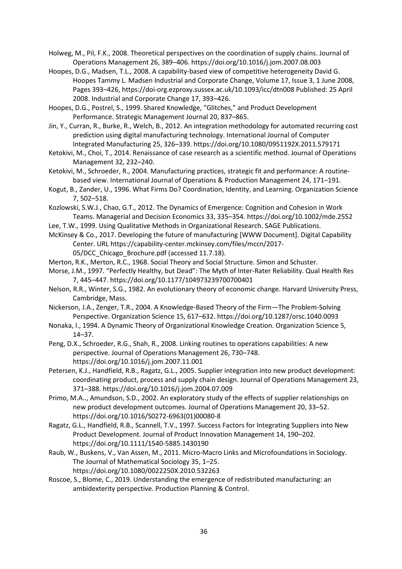Holweg, M., Pil, F.K., 2008. Theoretical perspectives on the coordination of supply chains. Journal of Operations Management 26, 389–406. https://doi.org/10.1016/j.jom.2007.08.003

- Hoopes, D.G., Madsen, T.L., 2008. A capability-based view of competitive heterogeneity David G. Hoopes Tammy L. Madsen Industrial and Corporate Change, Volume 17, Issue 3, 1 June 2008, Pages 393–426, https://doi-org.ezproxy.sussex.ac.uk/10.1093/icc/dtn008 Published: 25 April 2008. Industrial and Corporate Change 17, 393–426.
- Hoopes, D.G., Postrel, S., 1999. Shared Knowledge, "Glitches," and Product Development Performance. Strategic Management Journal 20, 837–865.

Jin, Y., Curran, R., Burke, R., Welch, B., 2012. An integration methodology for automated recurring cost prediction using digital manufacturing technology. International Journal of Computer Integrated Manufacturing 25, 326–339. https://doi.org/10.1080/0951192X.2011.579171

Ketokivi, M., Choi, T., 2014. Renaissance of case research as a scientific method. Journal of Operations Management 32, 232–240.

Ketokivi, M., Schroeder, R., 2004. Manufacturing practices, strategic fit and performance: A routinebased view. International Journal of Operations & Production Management 24, 171–191.

Kogut, B., Zander, U., 1996. What Firms Do? Coordination, Identity, and Learning. Organization Science 7, 502–518.

Kozlowski, S.W.J., Chao, G.T., 2012. The Dynamics of Emergence: Cognition and Cohesion in Work Teams. Managerial and Decision Economics 33, 335–354. https://doi.org/10.1002/mde.2552

- Lee, T.W., 1999. Using Qualitative Methods in Organizational Research. SAGE Publications.
- McKinsey & Co., 2017. Developing the future of manufacturing [WWW Document]. Digital Capability Center. URL https://capability-center.mckinsey.com/files/mccn/2017- 05/DCC Chicago Brochure.pdf (accessed 11.7.18).

Merton, R.K., Merton, R.C., 1968. Social Theory and Social Structure. Simon and Schuster.

- Morse, J.M., 1997. "Perfectly Healthy, but Dead": The Myth of Inter-Rater Reliability. Qual Health Res 7, 445–447. https://doi.org/10.1177/104973239700700401
- Nelson, R.R., Winter, S.G., 1982. An evolutionary theory of economic change. Harvard University Press, Cambridge, Mass.

Nickerson, J.A., Zenger, T.R., 2004. A Knowledge-Based Theory of the Firm—The Problem-Solving Perspective. Organization Science 15, 617–632. https://doi.org/10.1287/orsc.1040.0093

- Nonaka, I., 1994. A Dynamic Theory of Organizational Knowledge Creation. Organization Science 5, 14–37.
- Peng, D.X., Schroeder, R.G., Shah, R., 2008. Linking routines to operations capabilities: A new perspective. Journal of Operations Management 26, 730–748. https://doi.org/10.1016/j.jom.2007.11.001
- Petersen, K.J., Handfield, R.B., Ragatz, G.L., 2005. Supplier integration into new product development: coordinating product, process and supply chain design. Journal of Operations Management 23, 371–388. https://doi.org/10.1016/j.jom.2004.07.009

Primo, M.A.., Amundson, S.D., 2002. An exploratory study of the effects of supplier relationships on new product development outcomes. Journal of Operations Management 20, 33–52. https://doi.org/10.1016/S0272-6963(01)00080-8

Ragatz, G.L., Handfield, R.B., Scannell, T.V., 1997. Success Factors for Integrating Suppliers into New Product Development. Journal of Product Innovation Management 14, 190–202. https://doi.org/10.1111/1540-5885.1430190

Raub, W., Buskens, V., Van Assen, M., 2011. Micro-Macro Links and Microfoundations in Sociology. The Journal of Mathematical Sociology 35, 1–25. https://doi.org/10.1080/0022250X.2010.532263

Roscoe, S., Blome, C., 2019. Understanding the emergence of redistributed manufacturing: an ambidexterity perspective. Production Planning & Control.